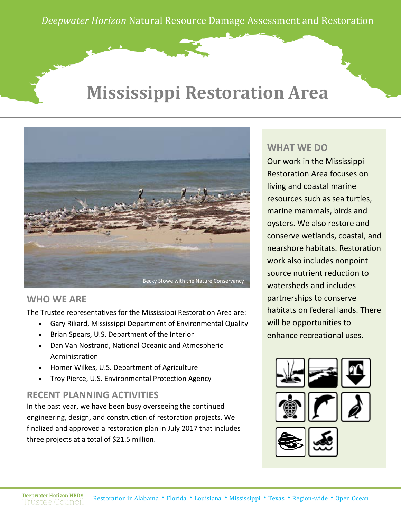*Deepwater Horizon* Natural Resource Damage Assessment and Restoration

## **Mississippi Restoration Area**



#### **WHO WE ARE**

The Trustee representatives for the Mississippi Restoration Area are:

- Gary Rikard, Mississippi Department of Environmental Quality
- Brian Spears, U.S. Department of the Interior
- Dan Van Nostrand, National Oceanic and Atmospheric Administration
- Homer Wilkes, U.S. Department of Agriculture
- Troy Pierce, U.S. Environmental Protection Agency

### **RECENT PLANNING ACTIVITIES**

In the past year, we have been busy overseeing the continued engineering, design, and construction of restoration projects. We finalized and approved a restoration plan in July 2017 that includes three projects at a total of \$21.5 million.

#### **WHAT WE DO**

Our work in the Mississippi Restoration Area focuses on living and coastal marine resources such as sea turtles, marine mammals, birds and oysters. We also restore and conserve wetlands, coastal, and nearshore habitats. Restoration work also includes nonpoint source nutrient reduction to watersheds and includes partnerships to conserve habitats on federal lands. There will be opportunities to enhance recreational uses.







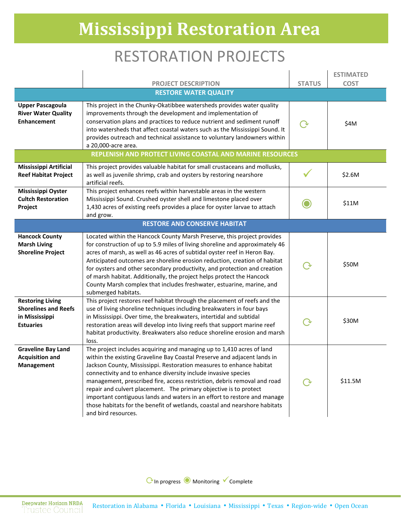## **Mississippi Restoration Area**

### RESTORATION PROJECTS

|                                                                                              |                                                                                                                                                                                                                                                                                                                                                                                                                                                                                                                                                                                                                               |               | <b>ESTIMATED</b> |  |
|----------------------------------------------------------------------------------------------|-------------------------------------------------------------------------------------------------------------------------------------------------------------------------------------------------------------------------------------------------------------------------------------------------------------------------------------------------------------------------------------------------------------------------------------------------------------------------------------------------------------------------------------------------------------------------------------------------------------------------------|---------------|------------------|--|
|                                                                                              | <b>PROJECT DESCRIPTION</b><br><b>RESTORE WATER QUALITY</b>                                                                                                                                                                                                                                                                                                                                                                                                                                                                                                                                                                    | <b>STATUS</b> | <b>COST</b>      |  |
|                                                                                              |                                                                                                                                                                                                                                                                                                                                                                                                                                                                                                                                                                                                                               |               |                  |  |
| <b>Upper Pascagoula</b><br><b>River Water Quality</b><br><b>Enhancement</b>                  | This project in the Chunky-Okatibbee watersheds provides water quality<br>improvements through the development and implementation of<br>conservation plans and practices to reduce nutrient and sediment runoff<br>into watersheds that affect coastal waters such as the Mississippi Sound. It<br>provides outreach and technical assistance to voluntary landowners within<br>a 20,000-acre area.                                                                                                                                                                                                                           | $\rm{O}$      | \$4M             |  |
|                                                                                              | REPLENISH AND PROTECT LIVING COASTAL AND MARINE RESOURCES                                                                                                                                                                                                                                                                                                                                                                                                                                                                                                                                                                     |               |                  |  |
| <b>Mississippi Artificial</b><br><b>Reef Habitat Project</b>                                 | This project provides valuable habitat for small crustaceans and mollusks,<br>as well as juvenile shrimp, crab and oysters by restoring nearshore<br>artificial reefs.                                                                                                                                                                                                                                                                                                                                                                                                                                                        |               | \$2.6M           |  |
| Mississippi Oyster<br><b>Cultch Restoration</b><br>Project                                   | This project enhances reefs within harvestable areas in the western<br>Mississippi Sound. Crushed oyster shell and limestone placed over<br>1,430 acres of existing reefs provides a place for oyster larvae to attach<br>and grow.                                                                                                                                                                                                                                                                                                                                                                                           |               | \$11M            |  |
| <b>RESTORE AND CONSERVE HABITAT</b>                                                          |                                                                                                                                                                                                                                                                                                                                                                                                                                                                                                                                                                                                                               |               |                  |  |
| <b>Hancock County</b><br><b>Marsh Living</b><br><b>Shoreline Project</b>                     | Located within the Hancock County Marsh Preserve, this project provides<br>for construction of up to 5.9 miles of living shoreline and approximately 46<br>acres of marsh, as well as 46 acres of subtidal oyster reef in Heron Bay.<br>Anticipated outcomes are shoreline erosion reduction, creation of habitat<br>for oysters and other secondary productivity, and protection and creation<br>of marsh habitat. Additionally, the project helps protect the Hancock<br>County Marsh complex that includes freshwater, estuarine, marine, and<br>submerged habitats.                                                       |               | \$50M            |  |
| <b>Restoring Living</b><br><b>Shorelines and Reefs</b><br>in Mississippi<br><b>Estuaries</b> | This project restores reef habitat through the placement of reefs and the<br>use of living shoreline techniques including breakwaters in four bays<br>in Mississippi. Over time, the breakwaters, intertidal and subtidal<br>restoration areas will develop into living reefs that support marine reef<br>habitat productivity. Breakwaters also reduce shoreline erosion and marsh<br>loss.                                                                                                                                                                                                                                  |               | \$30M            |  |
| <b>Graveline Bay Land</b><br><b>Acquisition and</b><br><b>Management</b>                     | The project includes acquiring and managing up to 1,410 acres of land<br>within the existing Graveline Bay Coastal Preserve and adjacent lands in<br>Jackson County, Mississippi. Restoration measures to enhance habitat<br>connectivity and to enhance diversity include invasive species<br>management, prescribed fire, access restriction, debris removal and road<br>repair and culvert placement. The primary objective is to protect<br>important contiguous lands and waters in an effort to restore and manage<br>those habitats for the benefit of wetlands, coastal and nearshore habitats<br>and bird resources. |               | \$11.5M          |  |

CIn progress ● Monitoring V Complete